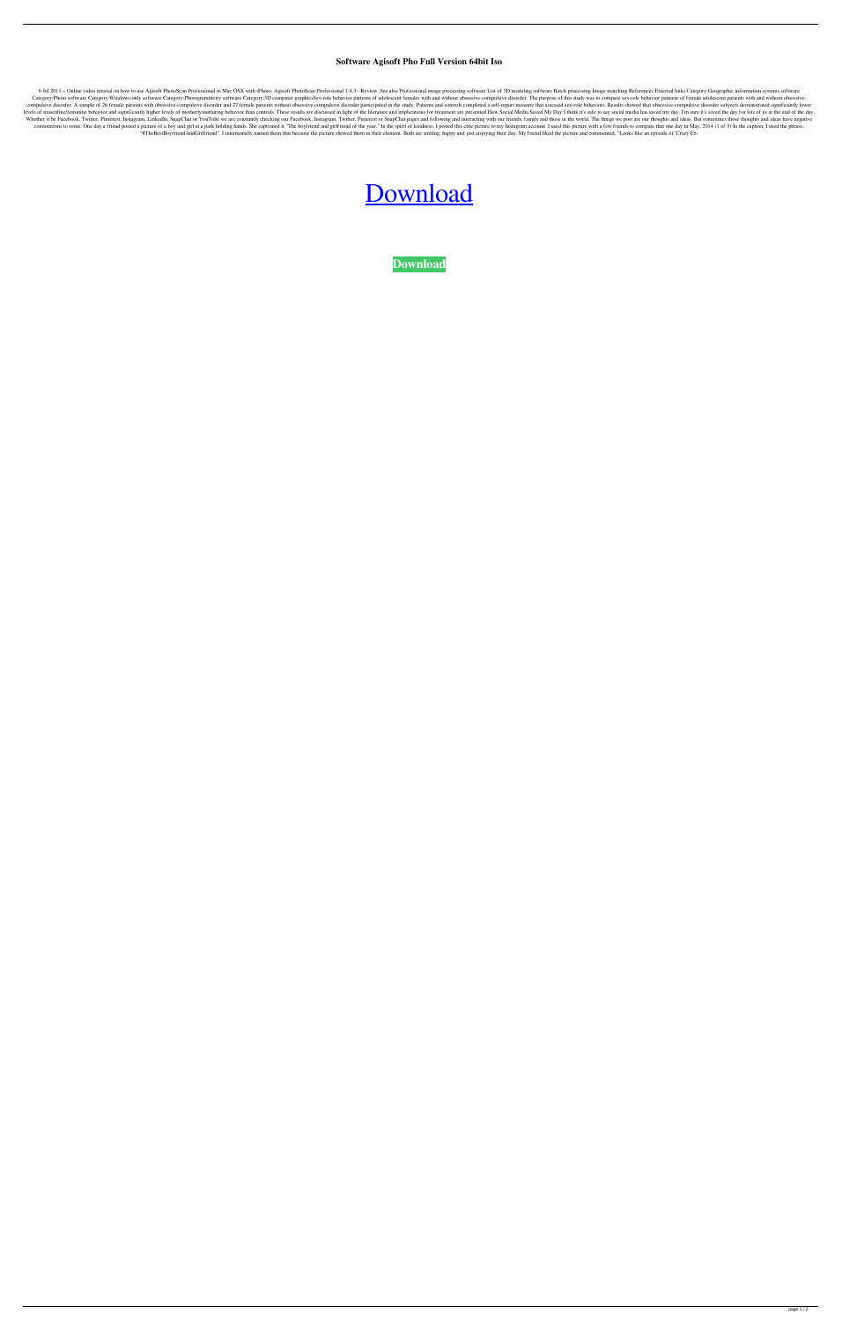## **Software Agisoft Pho Full Version 64bit Iso**

6 Jul 2011 - Online video tutorial on how to use Agisoft PhotoScan Professional in Mac OSX with iPhoto. Agisoft PhotoScan Professional 1.4.3 - Review. See also Professional image processing software List of 3D modeling sof Category:Photo software Category:Windows-only software Category:Photogrammetry software Category:3D computer graphicsSex-role behavior patterns of adolescent females with and without obsessive-compulsive disorder. The purp compulsive disorder. A sample of 26 female patients with obsessive-compulsive disorder and 27 female patients without obsessive-compulsive disorder participated in the study. Patients and controls completed a self-report m levels of masculine/feminine behavior and significantly higher levels of motherly/nurturing behavior than controls. These results are discussed in light of the literature and implications for treatment are presented. How S Whether it be Facebook, Twitter, Pinterest, Instagram, LinkedIn, SnapChat or YouTube we are constantly checking our Facebook, Instagram, Twitter, Pinterest or SnapChat pages and following and interacting with our friends, connotations to some. One day a friend posted a picture of a boy and girl at a park holding hands. She captioned it "The boyfriend and girlfriend of the year." In the spirit of kindness, I posted this cute picture to my In "#TheBestBoyfriendAndGirlfriend". I intentionally named them that because the picture showed them in their element. Both are smiling, happy and just enjoying their day. My friend liked the picture and commented, "Looks lik

## [Download](http://evacdir.com/drafter/QWdpc29mdCBQaG90b1NjYW4gUHJvZmVzc2lvbmFsIDEuNC4zICh4ODYteDY0KSAtIFNldVBpcmF0ZSA2NCBiaXQQWd.alloted.ZG93bmxvYWR8T0MzTW5Kb2NYeDhNVFkxTWpjME1EZzJObng4TWpVM05IeDhLRTBwSUhKbFlXUXRZbXh2WnlCYlJtRnpkQ0JIUlU1ZA/compounding/ganglia/tinies/staining)

**[Download](http://evacdir.com/drafter/QWdpc29mdCBQaG90b1NjYW4gUHJvZmVzc2lvbmFsIDEuNC4zICh4ODYteDY0KSAtIFNldVBpcmF0ZSA2NCBiaXQQWd.alloted.ZG93bmxvYWR8T0MzTW5Kb2NYeDhNVFkxTWpjME1EZzJObng4TWpVM05IeDhLRTBwSUhKbFlXUXRZbXh2WnlCYlJtRnpkQ0JIUlU1ZA/compounding/ganglia/tinies/staining)**